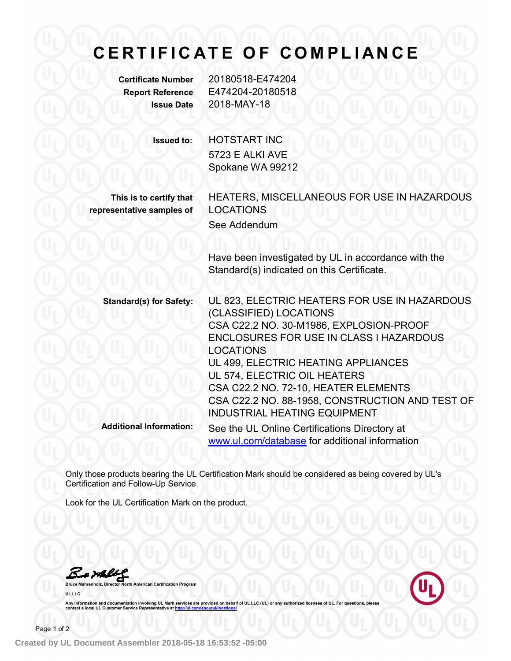## **C E R T I F I C A T E O F C O M PL I A N C E**

**Certificate Number** 20180518-E474204 **Report Reference** E474204-20180518 **Issue Date** 2018-MAY-18

**Issued to:** HOTSTART INC 5723 E ALKI AVE Spokane WA 99212

**This is to certify that representative samples of**

HEATERS, MISCELLANEOUS FOR USE IN HAZARDOUS LOCATIONS See Addendum

Have been investigated by UL in accordance with the Standard(s) indicated on this Certificate.

**Standard(s) for Safety:** UL 823, ELECTRIC HEATERS FOR USE IN HAZARDOUS (CLASSIFIED) LOCATIONS CSA C22.2 NO. 30-M1986, EXPLOSION-PROOF ENCLOSURES FOR USE IN CLASS I HAZARDOUS LOCATIONS UL 499, ELECTRIC HEATING APPLIANCES UL 574, ELECTRIC OIL HEATERS CSA C22.2 NO. 72-10, HEATER ELEMENTS CSA C22.2 NO. 88-1958, CONSTRUCTION AND TEST OF INDUSTRIAL HEATING EQUIPMENT **Additional Information:** See the UL Online Certifications Directory at www.ul.com/database for additional information

Only those products bearing the UL Certification Mark should be considered as being covered by UL's Certification and Follow-Up Service.

Look for the UL Certification Mark on the product.

**Bruce Mahrenholz, Director North American Certification Program UL LLC**



Any information and documentation involving UL Mark services are provided on behalf of UL LLC (UL) or any authorized licensee of UL. For questions, please<br>contact a local UL Customer Service Representative at <u>http://ul.co</u>